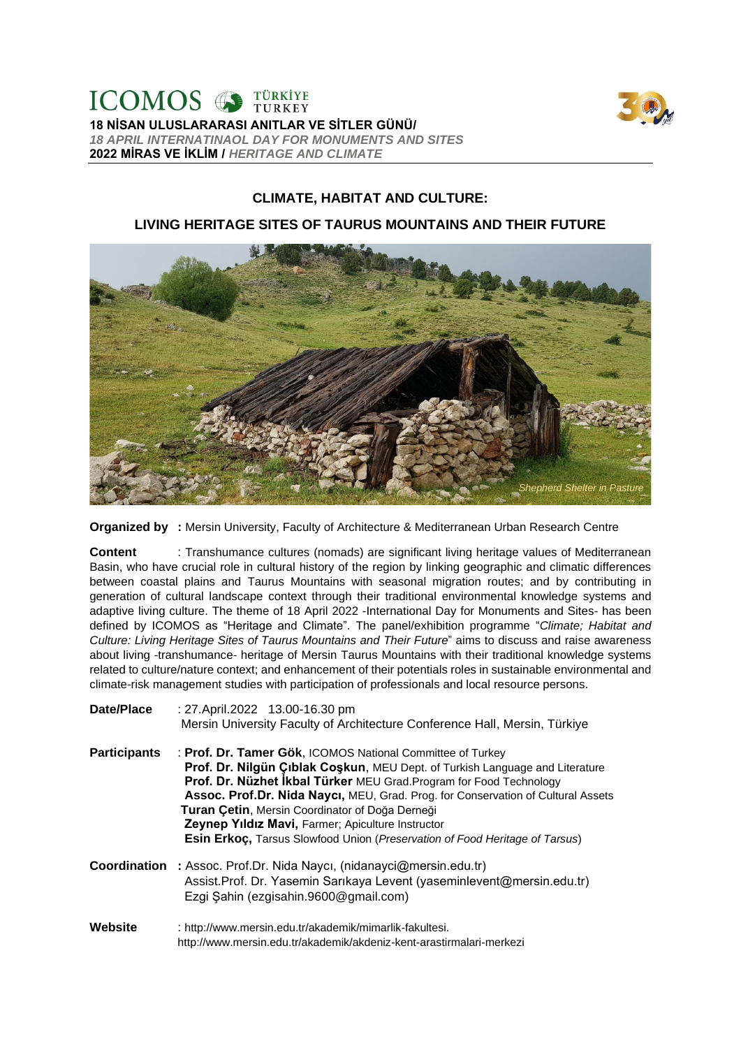

**18 NİSAN ULUSLARARASI ANITLAR VE SİTLER GÜNÜ/**  *18 APRIL INTERNATINAOL DAY FOR MONUMENTS AND SITES* **2022 MİRAS VE İKLİM /** *HERITAGE AND CLIMATE*

# **CLIMATE, HABITAT AND CULTURE:**

## **LIVING HERITAGE SITES OF TAURUS MOUNTAINS AND THEIR FUTURE**



**Organized by :** Mersin University, Faculty of Architecture & Mediterranean Urban Research Centre

**Content** : Transhumance cultures (nomads) are significant living heritage values of Mediterranean Basin, who have crucial role in cultural history of the region by linking geographic and climatic differences between coastal plains and Taurus Mountains with seasonal migration routes; and by contributing in generation of cultural landscape context through their traditional environmental knowledge systems and adaptive living culture. The theme of 18 April 2022 -International Day for Monuments and Sites- has been defined by ICOMOS as "Heritage and Climate". The panel/exhibition programme "*Climate; Habitat and Culture: Living Heritage Sites of Taurus Mountains and Their Future*" aims to discuss and raise awareness about living -transhumance- heritage of Mersin Taurus Mountains with their traditional knowledge systems related to culture/nature context; and enhancement of their potentials roles in sustainable environmental and climate-risk management studies with participation of professionals and local resource persons.

| Date/Place          | : 27. April. 2022 13.00-16.30 pm<br>Mersin University Faculty of Architecture Conference Hall, Mersin, Türkiye                                                                                                                                                                                                                                                                                                                                                                                      |
|---------------------|-----------------------------------------------------------------------------------------------------------------------------------------------------------------------------------------------------------------------------------------------------------------------------------------------------------------------------------------------------------------------------------------------------------------------------------------------------------------------------------------------------|
| <b>Participants</b> | : Prof. Dr. Tamer Gök, ICOMOS National Committee of Turkey<br>Prof. Dr. Nilgün Çıblak Coşkun, MEU Dept. of Turkish Language and Literature<br>Prof. Dr. Nüzhet İkbal Türker MEU Grad. Program for Food Technology<br>Assoc. Prof.Dr. Nida Naycı, MEU, Grad. Prog. for Conservation of Cultural Assets<br>Turan Çetin, Mersin Coordinator of Doğa Derneği<br>Zeynep Yıldız Mavi, Farmer; Apiculture Instructor<br><b>Esin Erkoç, Tarsus Slowfood Union (Preservation of Food Heritage of Tarsus)</b> |
| Coordination        | : Assoc. Prof.Dr. Nida Naycı, (nidanayci@mersin.edu.tr)<br>Assist.Prof. Dr. Yasemin Sarıkaya Levent (yaseminlevent@mersin.edu.tr)<br>Ezgi Şahin (ezgisahin.9600@gmail.com)                                                                                                                                                                                                                                                                                                                          |
| Website             | : http://www.mersin.edu.tr/akademik/mimarlik-fakultesi.<br>http://www.mersin.edu.tr/akademik/akdeniz-kent-arastirmalari-merkezi                                                                                                                                                                                                                                                                                                                                                                     |